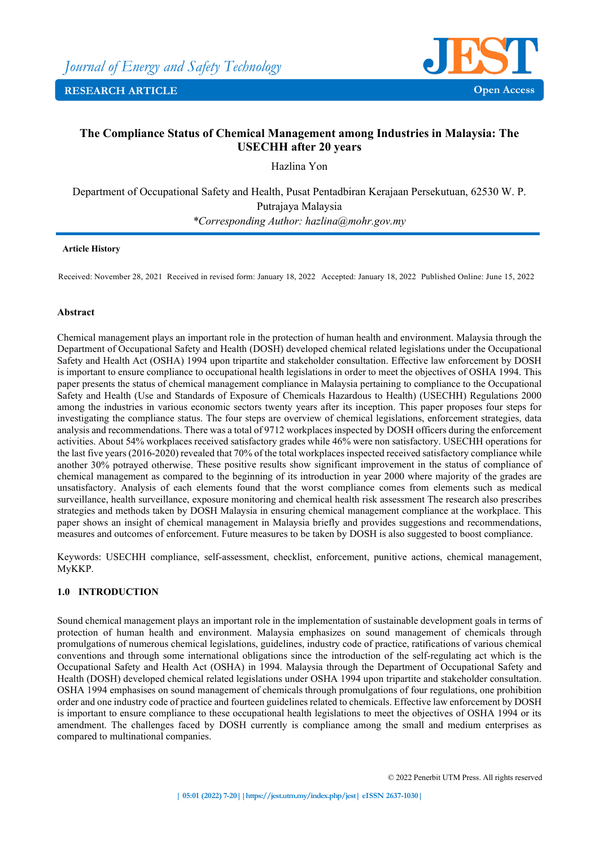

# **The Compliance Status of Chemical Management among Industries in Malaysia: The USECHH after 20 years**

Hazlina Yon

Department of Occupational Safety and Health, Pusat Pentadbiran Kerajaan Persekutuan, 62530 W. P. Putrajaya Malaysia *\*Corresponding Author: hazlina@mohr.gov.my* 

### **Article History**

Received: November 28, 2021 Received in revised form: January 18, 2022 Accepted: January 18, 2022 Published Online: June 15, 2022

### **Abstract**

Chemical management plays an important role in the protection of human health and environment. Malaysia through the Department of Occupational Safety and Health (DOSH) developed chemical related legislations under the Occupational Safety and Health Act (OSHA) 1994 upon tripartite and stakeholder consultation. Effective law enforcement by DOSH is important to ensure compliance to occupational health legislations in order to meet the objectives of OSHA 1994. This paper presents the status of chemical management compliance in Malaysia pertaining to compliance to the Occupational Safety and Health (Use and Standards of Exposure of Chemicals Hazardous to Health) (USECHH) Regulations 2000 among the industries in various economic sectors twenty years after its inception. This paper proposes four steps for investigating the compliance status. The four steps are overview of chemical legislations, enforcement strategies, data analysis and recommendations. There was a total of 9712 workplaces inspected by DOSH officers during the enforcement activities. About 54% workplaces received satisfactory grades while 46% were non satisfactory. USECHH operations for the last five years (2016-2020) revealed that 70% of the total workplaces inspected received satisfactory compliance while another 30% potrayed otherwise. These positive results show significant improvement in the status of compliance of chemical management as compared to the beginning of its introduction in year 2000 where majority of the grades are unsatisfactory. Analysis of each elements found that the worst compliance comes from elements such as medical surveillance, health surveillance, exposure monitoring and chemical health risk assessment The research also prescribes strategies and methods taken by DOSH Malaysia in ensuring chemical management compliance at the workplace. This paper shows an insight of chemical management in Malaysia briefly and provides suggestions and recommendations, measures and outcomes of enforcement. Future measures to be taken by DOSH is also suggested to boost compliance.

Keywords: USECHH compliance, self-assessment, checklist, enforcement, punitive actions, chemical management, MyKKP.

## **1.0 INTRODUCTION**

Sound chemical management plays an important role in the implementation of sustainable development goals in terms of protection of human health and environment. Malaysia emphasizes on sound management of chemicals through promulgations of numerous chemical legislations, guidelines, industry code of practice, ratifications of various chemical conventions and through some international obligations since the introduction of the self-regulating act which is the Occupational Safety and Health Act (OSHA) in 1994. Malaysia through the Department of Occupational Safety and Health (DOSH) developed chemical related legislations under OSHA 1994 upon tripartite and stakeholder consultation. OSHA 1994 emphasises on sound management of chemicals through promulgations of four regulations, one prohibition order and one industry code of practice and fourteen guidelines related to chemicals. Effective law enforcement by DOSH is important to ensure compliance to these occupational health legislations to meet the objectives of OSHA 1994 or its amendment. The challenges faced by DOSH currently is compliance among the small and medium enterprises as compared to multinational companies.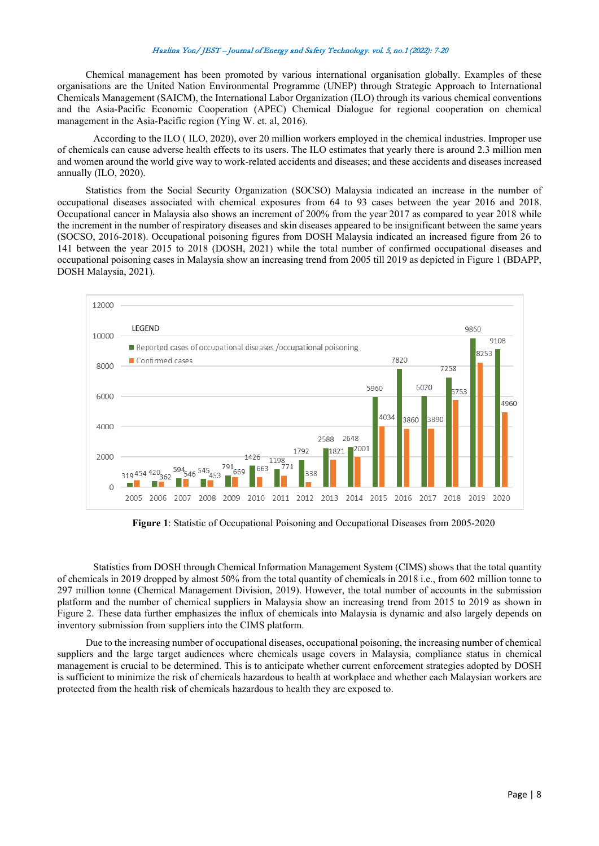Chemical management has been promoted by various international organisation globally. Examples of these organisations are the United Nation Environmental Programme (UNEP) through Strategic Approach to International Chemicals Management (SAICM), the International Labor Organization (ILO) through its various chemical conventions and the Asia-Pacific Economic Cooperation (APEC) Chemical Dialogue for regional cooperation on chemical management in the Asia-Pacific region (Ying W. et. al, 2016).

According to the ILO ( ILO, 2020), over 20 million workers employed in the chemical industries. Improper use of chemicals can cause adverse health effects to its users. The ILO estimates that yearly there is around 2.3 million men and women around the world give way to work-related accidents and diseases; and these accidents and diseases increased annually (ILO, 2020).

Statistics from the Social Security Organization (SOCSO) Malaysia indicated an increase in the number of occupational diseases associated with chemical exposures from 64 to 93 cases between the year 2016 and 2018. Occupational cancer in Malaysia also shows an increment of 200% from the year 2017 as compared to year 2018 while the increment in the number of respiratory diseases and skin diseases appeared to be insignificant between the same years (SOCSO, 2016-2018). Occupational poisoning figures from DOSH Malaysia indicated an increased figure from 26 to 141 between the year 2015 to 2018 (DOSH, 2021) while the total number of confirmed occupational diseases and occupational poisoning cases in Malaysia show an increasing trend from 2005 till 2019 as depicted in Figure 1 (BDAPP, DOSH Malaysia, 2021).



**Figure 1**: Statistic of Occupational Poisoning and Occupational Diseases from 2005-2020

Statistics from DOSH through Chemical Information Management System (CIMS) shows that the total quantity of chemicals in 2019 dropped by almost 50% from the total quantity of chemicals in 2018 i.e., from 602 million tonne to 297 million tonne (Chemical Management Division, 2019). However, the total number of accounts in the submission platform and the number of chemical suppliers in Malaysia show an increasing trend from 2015 to 2019 as shown in Figure 2. These data further emphasizes the influx of chemicals into Malaysia is dynamic and also largely depends on inventory submission from suppliers into the CIMS platform.

Due to the increasing number of occupational diseases, occupational poisoning, the increasing number of chemical suppliers and the large target audiences where chemicals usage covers in Malaysia, compliance status in chemical management is crucial to be determined. This is to anticipate whether current enforcement strategies adopted by DOSH is sufficient to minimize the risk of chemicals hazardous to health at workplace and whether each Malaysian workers are protected from the health risk of chemicals hazardous to health they are exposed to.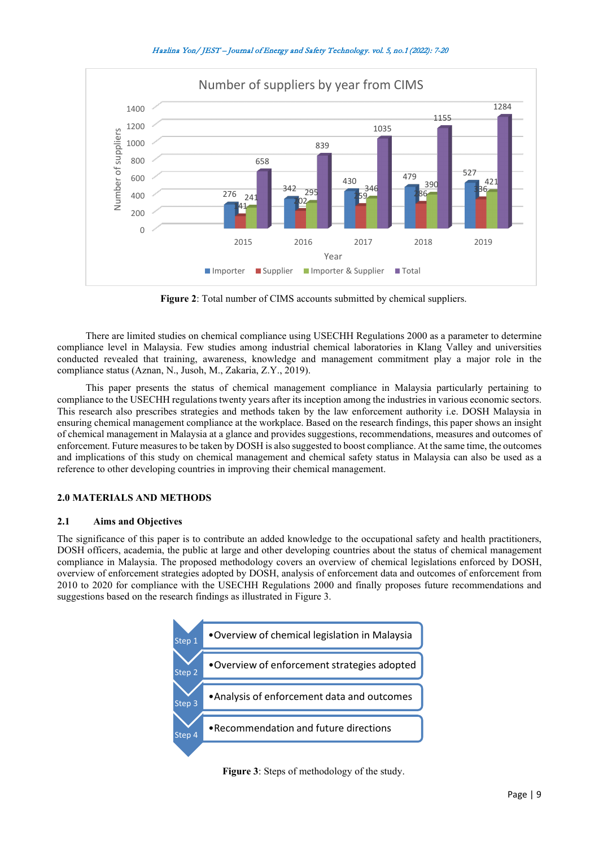

**Figure 2**: Total number of CIMS accounts submitted by chemical suppliers.

There are limited studies on chemical compliance using USECHH Regulations 2000 as a parameter to determine compliance level in Malaysia. Few studies among industrial chemical laboratories in Klang Valley and universities conducted revealed that training, awareness, knowledge and management commitment play a major role in the compliance status (Aznan, N., Jusoh, M., Zakaria, Z.Y., 2019).

This paper presents the status of chemical management compliance in Malaysia particularly pertaining to compliance to the USECHH regulations twenty years after its inception among the industries in various economic sectors. This research also prescribes strategies and methods taken by the law enforcement authority i.e. DOSH Malaysia in ensuring chemical management compliance at the workplace. Based on the research findings, this paper shows an insight of chemical management in Malaysia at a glance and provides suggestions, recommendations, measures and outcomes of enforcement. Future measures to be taken by DOSH is also suggested to boost compliance. At the same time, the outcomes and implications of this study on chemical management and chemical safety status in Malaysia can also be used as a reference to other developing countries in improving their chemical management.

## **2.0 MATERIALS AND METHODS**

#### **2.1 Aims and Objectives**

The significance of this paper is to contribute an added knowledge to the occupational safety and health practitioners, DOSH officers, academia, the public at large and other developing countries about the status of chemical management compliance in Malaysia. The proposed methodology covers an overview of chemical legislations enforced by DOSH, overview of enforcement strategies adopted by DOSH, analysis of enforcement data and outcomes of enforcement from 2010 to 2020 for compliance with the USECHH Regulations 2000 and finally proposes future recommendations and suggestions based on the research findings as illustrated in Figure 3.

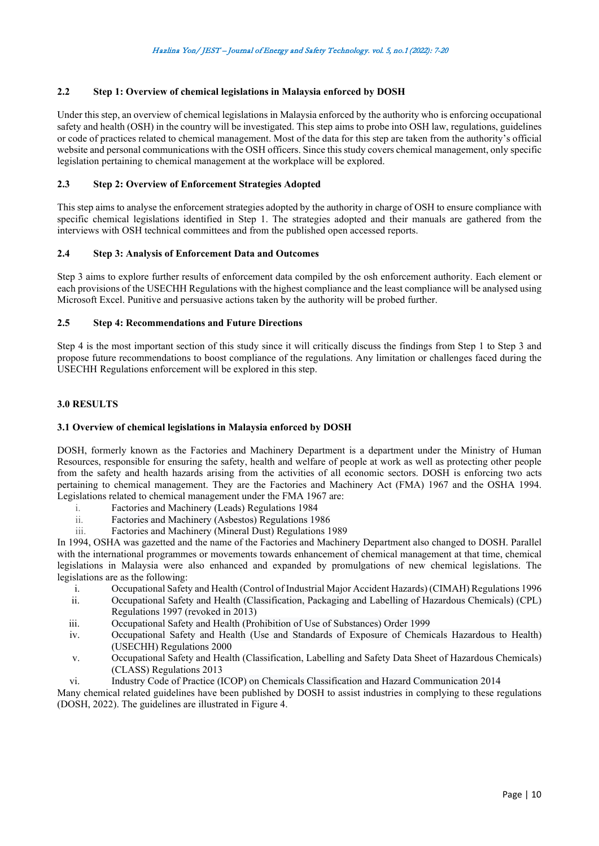## **2.2 Step 1: Overview of chemical legislations in Malaysia enforced by DOSH**

Under this step, an overview of chemical legislations in Malaysia enforced by the authority who is enforcing occupational safety and health (OSH) in the country will be investigated. This step aims to probe into OSH law, regulations, guidelines or code of practices related to chemical management. Most of the data for this step are taken from the authority's official website and personal communications with the OSH officers. Since this study covers chemical management, only specific legislation pertaining to chemical management at the workplace will be explored.

## **2.3 Step 2: Overview of Enforcement Strategies Adopted**

This step aims to analyse the enforcement strategies adopted by the authority in charge of OSH to ensure compliance with specific chemical legislations identified in Step 1. The strategies adopted and their manuals are gathered from the interviews with OSH technical committees and from the published open accessed reports.

### **2.4 Step 3: Analysis of Enforcement Data and Outcomes**

Step 3 aims to explore further results of enforcement data compiled by the osh enforcement authority. Each element or each provisions of the USECHH Regulations with the highest compliance and the least compliance will be analysed using Microsoft Excel. Punitive and persuasive actions taken by the authority will be probed further.

### **2.5 Step 4: Recommendations and Future Directions**

Step 4 is the most important section of this study since it will critically discuss the findings from Step 1 to Step 3 and propose future recommendations to boost compliance of the regulations. Any limitation or challenges faced during the USECHH Regulations enforcement will be explored in this step.

### **3.0 RESULTS**

## **3.1 Overview of chemical legislations in Malaysia enforced by DOSH**

DOSH, formerly known as the Factories and Machinery Department is a department under the Ministry of Human Resources, responsible for ensuring the safety, health and welfare of people at work as well as protecting other people from the safety and health hazards arising from the activities of all economic sectors. DOSH is enforcing two acts pertaining to chemical management. They are the Factories and Machinery Act (FMA) 1967 and the OSHA 1994. Legislations related to chemical management under the FMA 1967 are:

- i. Factories and Machinery (Leads) Regulations 1984
- ii. Factories and Machinery (Asbestos) Regulations 1986
- iii. Factories and Machinery (Mineral Dust) Regulations 1989

In 1994, OSHA was gazetted and the name of the Factories and Machinery Department also changed to DOSH. Parallel with the international programmes or movements towards enhancement of chemical management at that time, chemical legislations in Malaysia were also enhanced and expanded by promulgations of new chemical legislations. The legislations are as the following:

- i. Occupational Safety and Health (Control of Industrial Major Accident Hazards) (CIMAH) Regulations 1996
- Occupational Safety and Health (Classification, Packaging and Labelling of Hazardous Chemicals) (CPL) Regulations 1997 (revoked in 2013)
- iii. Occupational Safety and Health (Prohibition of Use of Substances) Order 1999
- iv. Occupational Safety and Health (Use and Standards of Exposure of Chemicals Hazardous to Health) (USECHH) Regulations 2000
- v. Occupational Safety and Health (Classification, Labelling and Safety Data Sheet of Hazardous Chemicals) (CLASS) Regulations 2013
- vi. Industry Code of Practice (ICOP) on Chemicals Classification and Hazard Communication 2014

Many chemical related guidelines have been published by DOSH to assist industries in complying to these regulations (DOSH, 2022). The guidelines are illustrated in Figure 4.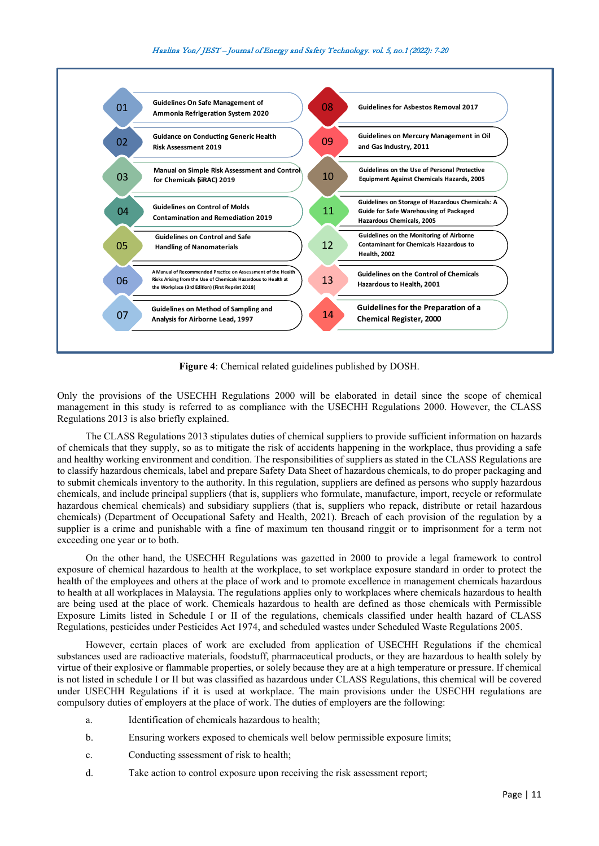

**Figure 4**: Chemical related guidelines published by DOSH.

Only the provisions of the USECHH Regulations 2000 will be elaborated in detail since the scope of chemical management in this study is referred to as compliance with the USECHH Regulations 2000. However, the CLASS Regulations 2013 is also briefly explained.

The CLASS Regulations 2013 stipulates duties of chemical suppliers to provide sufficient information on hazards of chemicals that they supply, so as to mitigate the risk of accidents happening in the workplace, thus providing a safe and healthy working environment and condition. The responsibilities of suppliers as stated in the CLASS Regulations are to classify hazardous chemicals, label and prepare Safety Data Sheet of hazardous chemicals, to do proper packaging and to submit chemicals inventory to the authority. In this regulation, suppliers are defined as persons who supply hazardous chemicals, and include principal suppliers (that is, suppliers who formulate, manufacture, import, recycle or reformulate hazardous chemical chemicals) and subsidiary suppliers (that is, suppliers who repack, distribute or retail hazardous chemicals) (Department of Occupational Safety and Health, 2021). Breach of each provision of the regulation by a supplier is a crime and punishable with a fine of maximum ten thousand ringgit or to imprisonment for a term not exceeding one year or to both.

On the other hand, the USECHH Regulations was gazetted in 2000 to provide a legal framework to control exposure of chemical hazardous to health at the workplace, to set workplace exposure standard in order to protect the health of the employees and others at the place of work and to promote excellence in management chemicals hazardous to health at all workplaces in Malaysia. The regulations applies only to workplaces where chemicals hazardous to health are being used at the place of work. Chemicals hazardous to health are defined as those chemicals with Permissible Exposure Limits listed in Schedule I or II of the regulations, chemicals classified under health hazard of CLASS Regulations, pesticides under Pesticides Act 1974, and scheduled wastes under Scheduled Waste Regulations 2005.

However, certain places of work are excluded from application of USECHH Regulations if the chemical substances used are radioactive materials, foodstuff, pharmaceutical products, or they are hazardous to health solely by virtue of their explosive or flammable properties, or solely because they are at a high temperature or pressure. If chemical is not listed in schedule I or II but was classified as hazardous under CLASS Regulations, this chemical will be covered under USECHH Regulations if it is used at workplace. The main provisions under the USECHH regulations are compulsory duties of employers at the place of work. The duties of employers are the following:

- a. Identification of chemicals hazardous to health;
- b. Ensuring workers exposed to chemicals well below permissible exposure limits;
- c. Conducting sssessment of risk to health;
- d. Take action to control exposure upon receiving the risk assessment report;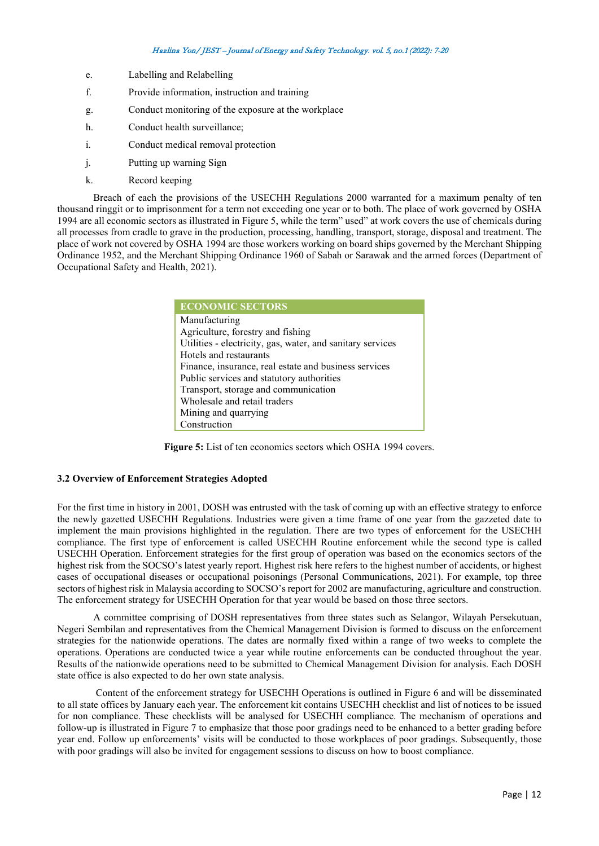- e. Labelling and Relabelling
- f. Provide information, instruction and training
- g. Conduct monitoring of the exposure at the workplace
- h. Conduct health surveillance;
- i. Conduct medical removal protection
- j. Putting up warning Sign
- k. Record keeping

Breach of each the provisions of the USECHH Regulations 2000 warranted for a maximum penalty of ten thousand ringgit or to imprisonment for a term not exceeding one year or to both. The place of work governed by OSHA 1994 are all economic sectors as illustrated in Figure 5, while the term" used" at work covers the use of chemicals during all processes from cradle to grave in the production, processing, handling, transport, storage, disposal and treatment. The place of work not covered by OSHA 1994 are those workers working on board ships governed by the Merchant Shipping Ordinance 1952, and the Merchant Shipping Ordinance 1960 of Sabah or Sarawak and the armed forces (Department of Occupational Safety and Health, 2021).

| <b>ECONOMIC SECTORS</b>                                    |
|------------------------------------------------------------|
| Manufacturing                                              |
| Agriculture, forestry and fishing                          |
| Utilities - electricity, gas, water, and sanitary services |
| Hotels and restaurants                                     |
| Finance, insurance, real estate and business services      |
| Public services and statutory authorities                  |
| Transport, storage and communication                       |
| Wholesale and retail traders                               |
| Mining and quarrying                                       |
| Construction                                               |

**Figure 5:** List of ten economics sectors which OSHA 1994 covers.

#### **3.2 Overview of Enforcement Strategies Adopted**

For the first time in history in 2001, DOSH was entrusted with the task of coming up with an effective strategy to enforce the newly gazetted USECHH Regulations. Industries were given a time frame of one year from the gazzeted date to implement the main provisions highlighted in the regulation. There are two types of enforcement for the USECHH compliance. The first type of enforcement is called USECHH Routine enforcement while the second type is called USECHH Operation. Enforcement strategies for the first group of operation was based on the economics sectors of the highest risk from the SOCSO's latest yearly report. Highest risk here refers to the highest number of accidents, or highest cases of occupational diseases or occupational poisonings (Personal Communications, 2021). For example, top three sectors of highest risk in Malaysia according to SOCSO's report for 2002 are manufacturing, agriculture and construction. The enforcement strategy for USECHH Operation for that year would be based on those three sectors.

A committee comprising of DOSH representatives from three states such as Selangor, Wilayah Persekutuan, Negeri Sembilan and representatives from the Chemical Management Division is formed to discuss on the enforcement strategies for the nationwide operations. The dates are normally fixed within a range of two weeks to complete the operations. Operations are conducted twice a year while routine enforcements can be conducted throughout the year. Results of the nationwide operations need to be submitted to Chemical Management Division for analysis. Each DOSH state office is also expected to do her own state analysis.

Content of the enforcement strategy for USECHH Operations is outlined in Figure 6 and will be disseminated to all state offices by January each year. The enforcement kit contains USECHH checklist and list of notices to be issued for non compliance. These checklists will be analysed for USECHH compliance. The mechanism of operations and follow-up is illustrated in Figure 7 to emphasize that those poor gradings need to be enhanced to a better grading before year end. Follow up enforcements' visits will be conducted to those workplaces of poor gradings. Subsequently, those with poor gradings will also be invited for engagement sessions to discuss on how to boost compliance.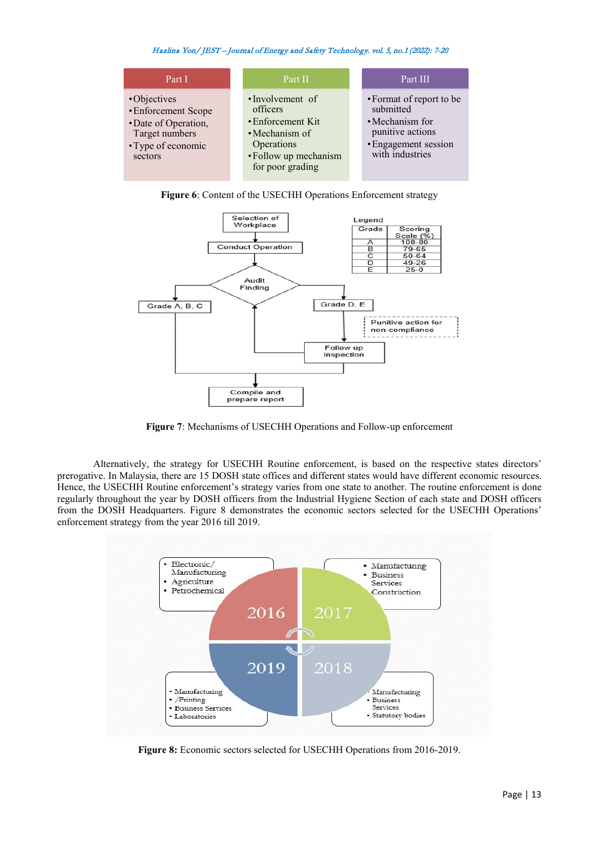| Part I                                                                                                        | Part II                                                                                                                       | Part III                                                                                                                |
|---------------------------------------------------------------------------------------------------------------|-------------------------------------------------------------------------------------------------------------------------------|-------------------------------------------------------------------------------------------------------------------------|
| •Objectives<br>• Enforcement Scope<br>• Date of Operation,<br>Target numbers<br>• Type of economic<br>sectors | •Involvement of<br>officers<br>• Enforcement Kit<br>• Mechanism of<br>Operations<br>• Follow up mechanism<br>for poor grading | • Format of report to be<br>submitted<br>• Mechanism for<br>punitive actions<br>• Engagement session<br>with industries |

**Figure 6**: Content of the USECHH Operations Enforcement strategy



**Figure 7**: Mechanisms of USECHH Operations and Follow-up enforcement

Alternatively, the strategy for USECHH Routine enforcement, is based on the respective states directors' prerogative. In Malaysia, there are 15 DOSH state offices and different states would have different economic resources. Hence, the USECHH Routine enforcement's strategy varies from one state to another. The routine enforcement is done regularly throughout the year by DOSH officers from the Industrial Hygiene Section of each state and DOSH officers from the DOSH Headquarters. Figure 8 demonstrates the economic sectors selected for the USECHH Operations' enforcement strategy from the year 2016 till 2019.



**Figure 8:** Economic sectors selected for USECHH Operations from 2016-2019.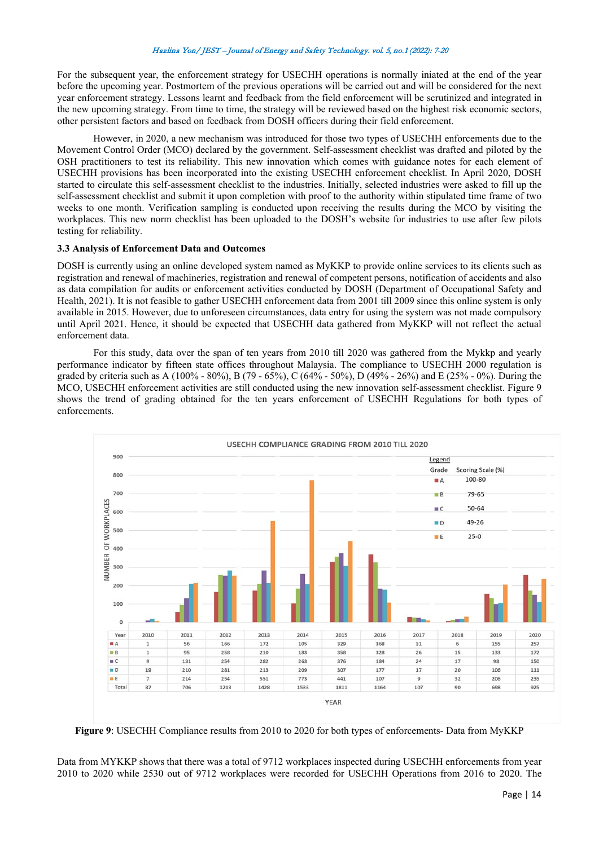For the subsequent year, the enforcement strategy for USECHH operations is normally iniated at the end of the year before the upcoming year. Postmortem of the previous operations will be carried out and will be considered for the next year enforcement strategy. Lessons learnt and feedback from the field enforcement will be scrutinized and integrated in the new upcoming strategy. From time to time, the strategy will be reviewed based on the highest risk economic sectors, other persistent factors and based on feedback from DOSH officers during their field enforcement.

However, in 2020, a new mechanism was introduced for those two types of USECHH enforcements due to the Movement Control Order (MCO) declared by the government. Self-assessment checklist was drafted and piloted by the OSH practitioners to test its reliability. This new innovation which comes with guidance notes for each element of USECHH provisions has been incorporated into the existing USECHH enforcement checklist. In April 2020, DOSH started to circulate this self-assessment checklist to the industries. Initially, selected industries were asked to fill up the self-assessment checklist and submit it upon completion with proof to the authority within stipulated time frame of two weeks to one month. Verification sampling is conducted upon receiving the results during the MCO by visiting the workplaces. This new norm checklist has been uploaded to the DOSH's website for industries to use after few pilots testing for reliability.

## **3.3 Analysis of Enforcement Data and Outcomes**

DOSH is currently using an online developed system named as MyKKP to provide online services to its clients such as registration and renewal of machineries, registration and renewal of competent persons, notification of accidents and also as data compilation for audits or enforcement activities conducted by DOSH (Department of Occupational Safety and Health, 2021). It is not feasible to gather USECHH enforcement data from 2001 till 2009 since this online system is only available in 2015. However, due to unforeseen circumstances, data entry for using the system was not made compulsory until April 2021. Hence, it should be expected that USECHH data gathered from MyKKP will not reflect the actual enforcement data.

For this study, data over the span of ten years from 2010 till 2020 was gathered from the Mykkp and yearly performance indicator by fifteen state offices throughout Malaysia. The compliance to USECHH 2000 regulation is graded by criteria such as A (100% - 80%), B (79 - 65%), C (64% - 50%), D (49% - 26%) and E (25% - 0%). During the MCO, USECHH enforcement activities are still conducted using the new innovation self-assessment checklist. Figure 9 shows the trend of grading obtained for the ten years enforcement of USECHH Regulations for both types of enforcements.



**Figure 9**: USECHH Compliance results from 2010 to 2020 for both types of enforcements- Data from MyKKP

Data from MYKKP shows that there was a total of 9712 workplaces inspected during USECHH enforcements from year 2010 to 2020 while 2530 out of 9712 workplaces were recorded for USECHH Operations from 2016 to 2020. The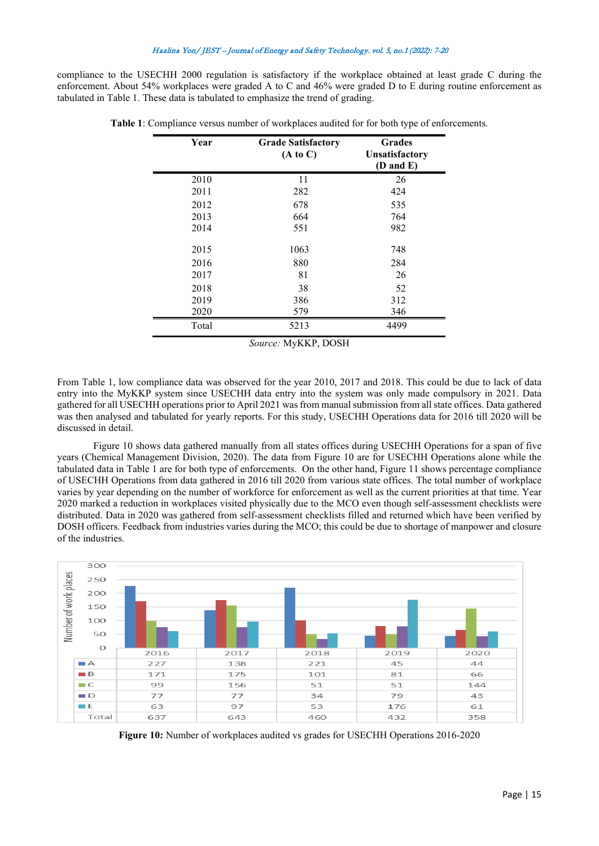compliance to the USECHH 2000 regulation is satisfactory if the workplace obtained at least grade C during the enforcement. About 54% workplaces were graded A to C and 46% were graded D to E during routine enforcement as tabulated in Table 1. These data is tabulated to emphasize the trend of grading.

| Year  | <b>Grade Satisfactory</b><br>(A to C) | <b>Grades</b><br>Unsatisfactory<br>(D and E) |
|-------|---------------------------------------|----------------------------------------------|
| 2010  | 11                                    | 26                                           |
| 2011  | 282                                   | 424                                          |
| 2012  | 678                                   | 535                                          |
| 2013  | 664                                   | 764                                          |
| 2014  | 551                                   | 982                                          |
| 2015  | 1063                                  | 748                                          |
| 2016  | 880                                   | 284                                          |
| 2017  | 81                                    | 26                                           |
| 2018  | 38                                    | 52                                           |
| 2019  | 386                                   | 312                                          |
| 2020  | 579                                   | 346                                          |
| Total | 5213                                  | 4499                                         |

**Table 1**: Compliance versus number of workplaces audited for for both type of enforcements.

*Source:* MyKKP, DOSH

From Table 1, low compliance data was observed for the year 2010, 2017 and 2018. This could be due to lack of data entry into the MyKKP system since USECHH data entry into the system was only made compulsory in 2021. Data gathered for all USECHH operations prior to April 2021 was from manual submission from all state offices. Data gathered was then analysed and tabulated for yearly reports. For this study, USECHH Operations data for 2016 till 2020 will be discussed in detail.

Figure 10 shows data gathered manually from all states offices during USECHH Operations for a span of five years (Chemical Management Division, 2020). The data from Figure 10 are for USECHH Operations alone while the tabulated data in Table 1 are for both type of enforcements. On the other hand, Figure 11 shows percentage compliance of USECHH Operations from data gathered in 2016 till 2020 from various state offices. The total number of workplace varies by year depending on the number of workforce for enforcement as well as the current priorities at that time. Year 2020 marked a reduction in workplaces visited physically due to the MCO even though self-assessment checklists were distributed. Data in 2020 was gathered from self-assessment checklists filled and returned which have been verified by DOSH officers. Feedback from industries varies during the MCO; this could be due to shortage of manpower and closure of the industries.



**Figure 10:** Number of workplaces audited vs grades for USECHH Operations 2016-2020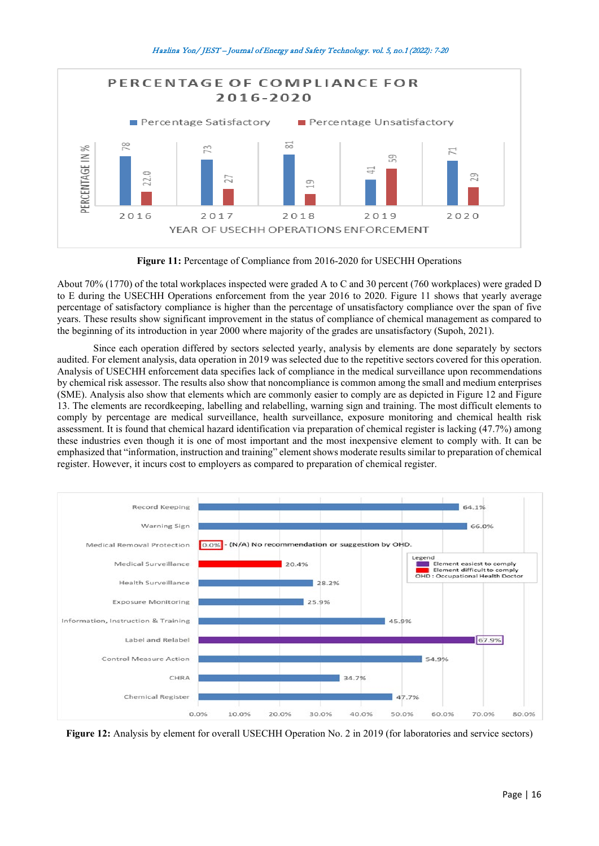



**Figure 11:** Percentage of Compliance from 2016-2020 for USECHH Operations

About 70% (1770) of the total workplaces inspected were graded A to C and 30 percent (760 workplaces) were graded D to E during the USECHH Operations enforcement from the year 2016 to 2020. Figure 11 shows that yearly average percentage of satisfactory compliance is higher than the percentage of unsatisfactory compliance over the span of five years. These results show significant improvement in the status of compliance of chemical management as compared to the beginning of its introduction in year 2000 where majority of the grades are unsatisfactory (Supoh, 2021).

Since each operation differed by sectors selected yearly, analysis by elements are done separately by sectors audited. For element analysis, data operation in 2019 was selected due to the repetitive sectors covered for this operation. Analysis of USECHH enforcement data specifies lack of compliance in the medical surveillance upon recommendations by chemical risk assessor. The results also show that noncompliance is common among the small and medium enterprises (SME). Analysis also show that elements which are commonly easier to comply are as depicted in Figure 12 and Figure 13. The elements are recordkeeping, labelling and relabelling, warning sign and training. The most difficult elements to comply by percentage are medical surveillance, health surveillance, exposure monitoring and chemical health risk assessment. It is found that chemical hazard identification via preparation of chemical register is lacking (47.7%) among these industries even though it is one of most important and the most inexpensive element to comply with. It can be emphasized that "information, instruction and training" element shows moderate results similar to preparation of chemical register. However, it incurs cost to employers as compared to preparation of chemical register.



**Figure 12:** Analysis by element for overall USECHH Operation No. 2 in 2019 (for laboratories and service sectors)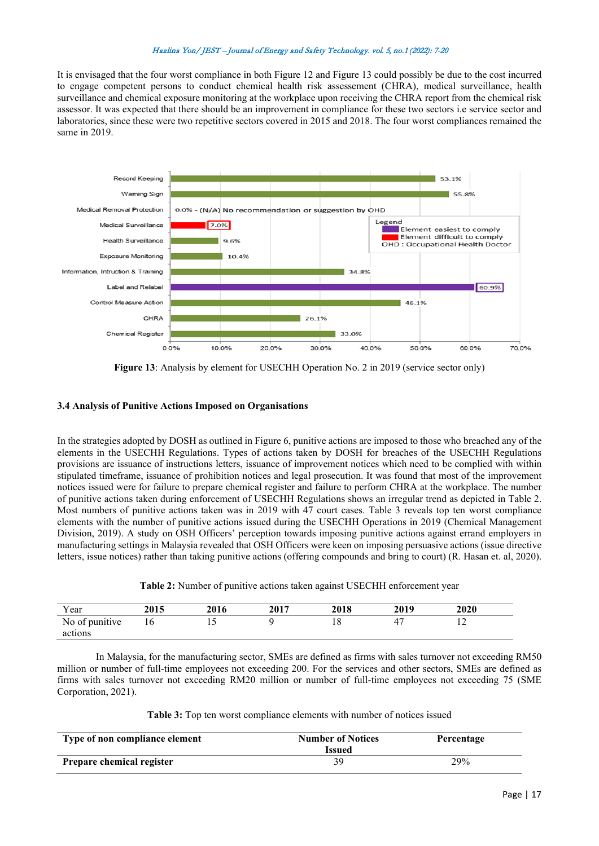It is envisaged that the four worst compliance in both Figure 12 and Figure 13 could possibly be due to the cost incurred to engage competent persons to conduct chemical health risk assessement (CHRA), medical surveillance, health surveillance and chemical exposure monitoring at the workplace upon receiving the CHRA report from the chemical risk assessor. It was expected that there should be an improvement in compliance for these two sectors i.e service sector and laboratories, since these were two repetitive sectors covered in 2015 and 2018. The four worst compliances remained the same in 2019.



**Figure 13**: Analysis by element for USECHH Operation No. 2 in 2019 (service sector only)

## **3.4 Analysis of Punitive Actions Imposed on Organisations**

In the strategies adopted by DOSH as outlined in Figure 6, punitive actions are imposed to those who breached any of the elements in the USECHH Regulations. Types of actions taken by DOSH for breaches of the USECHH Regulations provisions are issuance of instructions letters, issuance of improvement notices which need to be complied with within stipulated timeframe, issuance of prohibition notices and legal prosecution. It was found that most of the improvement notices issued were for failure to prepare chemical register and failure to perform CHRA at the workplace. The number of punitive actions taken during enforcement of USECHH Regulations shows an irregular trend as depicted in Table 2. Most numbers of punitive actions taken was in 2019 with 47 court cases. Table 3 reveals top ten worst compliance elements with the number of punitive actions issued during the USECHH Operations in 2019 (Chemical Management Division, 2019). A study on OSH Officers' perception towards imposing punitive actions against errand employers in manufacturing settings in Malaysia revealed that OSH Officers were keen on imposing persuasive actions (issue directive letters, issue notices) rather than taking punitive actions (offering compounds and bring to court) (R. Hasan et. al, 2020).

|  | Table 2: Number of punitive actions taken against USECHH enforcement year |
|--|---------------------------------------------------------------------------|
|--|---------------------------------------------------------------------------|

| Year                      | 2015 | 2016 | 2017 | 2018 | 2019 | 2020    |
|---------------------------|------|------|------|------|------|---------|
| No of punitive<br>actions | 10   | . .  |      |      |      | $\cdot$ |

In Malaysia, for the manufacturing sector, SMEs are defined as firms with sales turnover not exceeding RM50 million or number of full-time employees not exceeding 200. For the services and other sectors, SMEs are defined as firms with sales turnover not exceeding RM20 million or number of full-time employees not exceeding 75 (SME Corporation, 2021).

**Table 3:** Top ten worst compliance elements with number of notices issued

| Type of non compliance element | <b>Number of Notices</b><br><b>Issued</b> | Percentage |
|--------------------------------|-------------------------------------------|------------|
| Prepare chemical register      | 39.                                       | 29%        |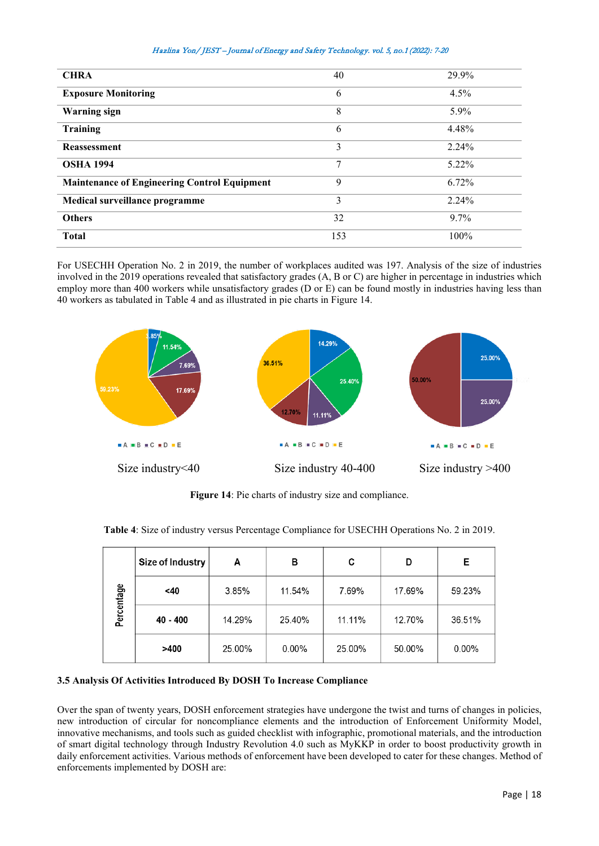|  |  |  |  |  |  |  | Hazlina Yon/ JEST – Journal of Energy and Safety Technology. vol. 5, no.1 (2022): 7-20 |  |  |  |  |
|--|--|--|--|--|--|--|----------------------------------------------------------------------------------------|--|--|--|--|
|--|--|--|--|--|--|--|----------------------------------------------------------------------------------------|--|--|--|--|

| <b>CHRA</b>                                         | 40  | 29.9% |
|-----------------------------------------------------|-----|-------|
| <b>Exposure Monitoring</b>                          | 6   | 4.5%  |
| <b>Warning</b> sign                                 | 8   | 5.9%  |
| Training                                            | 6   | 4.48% |
| <b>Reassessment</b>                                 | 3   | 2.24% |
| <b>OSHA 1994</b>                                    | 7   | 5.22% |
| <b>Maintenance of Engineering Control Equipment</b> | 9   | 6.72% |
| Medical surveillance programme                      | 3   | 2.24% |
| <b>Others</b>                                       | 32  | 9.7%  |
| <b>Total</b>                                        | 153 | 100%  |

For USECHH Operation No. 2 in 2019, the number of workplaces audited was 197. Analysis of the size of industries involved in the 2019 operations revealed that satisfactory grades (A, B or C) are higher in percentage in industries which employ more than 400 workers while unsatisfactory grades (D or E) can be found mostly in industries having less than 40 workers as tabulated in Table 4 and as illustrated in pie charts in Figure 14.



**Figure 14**: Pie charts of industry size and compliance.

|  | Table 4: Size of industry versus Percentage Compliance for USECHH Operations No. 2 in 2019. |  |  |  |  |  |
|--|---------------------------------------------------------------------------------------------|--|--|--|--|--|
|--|---------------------------------------------------------------------------------------------|--|--|--|--|--|

|            | Size of Industry | A      | в        | C      | D      | Е        |
|------------|------------------|--------|----------|--------|--------|----------|
| Percentage | $<$ 40           | 3.85%  | 11.54%   | 7.69%  | 17.69% | 59.23%   |
|            | 40 - 400         | 14.29% | 25.40%   | 11.11% | 12.70% | 36.51%   |
|            | >400             | 25.00% | $0.00\%$ | 25.00% | 50.00% | $0.00\%$ |

# **3.5 Analysis Of Activities Introduced By DOSH To Increase Compliance**

Over the span of twenty years, DOSH enforcement strategies have undergone the twist and turns of changes in policies, new introduction of circular for noncompliance elements and the introduction of Enforcement Uniformity Model, innovative mechanisms, and tools such as guided checklist with infographic, promotional materials, and the introduction of smart digital technology through Industry Revolution 4.0 such as MyKKP in order to boost productivity growth in daily enforcement activities. Various methods of enforcement have been developed to cater for these changes. Method of enforcements implemented by DOSH are: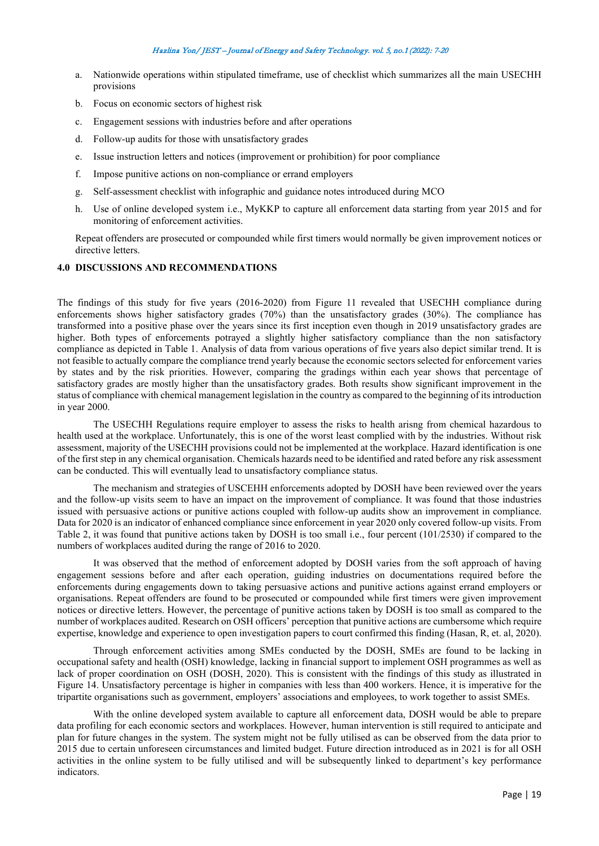- a. Nationwide operations within stipulated timeframe, use of checklist which summarizes all the main USECHH provisions
- b. Focus on economic sectors of highest risk
- c. Engagement sessions with industries before and after operations
- d. Follow-up audits for those with unsatisfactory grades
- e. Issue instruction letters and notices (improvement or prohibition) for poor compliance
- f. Impose punitive actions on non-compliance or errand employers
- g. Self-assessment checklist with infographic and guidance notes introduced during MCO
- h. Use of online developed system i.e., MyKKP to capture all enforcement data starting from year 2015 and for monitoring of enforcement activities.

Repeat offenders are prosecuted or compounded while first timers would normally be given improvement notices or directive letters.

### **4.0 DISCUSSIONS AND RECOMMENDATIONS**

The findings of this study for five years (2016-2020) from Figure 11 revealed that USECHH compliance during enforcements shows higher satisfactory grades (70%) than the unsatisfactory grades (30%). The compliance has transformed into a positive phase over the years since its first inception even though in 2019 unsatisfactory grades are higher. Both types of enforcements potrayed a slightly higher satisfactory compliance than the non satisfactory compliance as depicted in Table 1. Analysis of data from various operations of five years also depict similar trend. It is not feasible to actually compare the compliance trend yearly because the economic sectors selected for enforcement varies by states and by the risk priorities. However, comparing the gradings within each year shows that percentage of satisfactory grades are mostly higher than the unsatisfactory grades. Both results show significant improvement in the status of compliance with chemical management legislation in the country as compared to the beginning of its introduction in year 2000.

The USECHH Regulations require employer to assess the risks to health arisng from chemical hazardous to health used at the workplace. Unfortunately, this is one of the worst least complied with by the industries. Without risk assessment, majority of the USECHH provisions could not be implemented at the workplace. Hazard identification is one of the first step in any chemical organisation. Chemicals hazards need to be identified and rated before any risk assessment can be conducted. This will eventually lead to unsatisfactory compliance status.

The mechanism and strategies of USCEHH enforcements adopted by DOSH have been reviewed over the years and the follow-up visits seem to have an impact on the improvement of compliance. It was found that those industries issued with persuasive actions or punitive actions coupled with follow-up audits show an improvement in compliance. Data for 2020 is an indicator of enhanced compliance since enforcement in year 2020 only covered follow-up visits. From Table 2, it was found that punitive actions taken by DOSH is too small i.e., four percent (101/2530) if compared to the numbers of workplaces audited during the range of 2016 to 2020.

It was observed that the method of enforcement adopted by DOSH varies from the soft approach of having engagement sessions before and after each operation, guiding industries on documentations required before the enforcements during engagements down to taking persuasive actions and punitive actions against errand employers or organisations. Repeat offenders are found to be prosecuted or compounded while first timers were given improvement notices or directive letters. However, the percentage of punitive actions taken by DOSH is too small as compared to the number of workplaces audited. Research on OSH officers' perception that punitive actions are cumbersome which require expertise, knowledge and experience to open investigation papers to court confirmed this finding (Hasan, R, et. al, 2020).

Through enforcement activities among SMEs conducted by the DOSH, SMEs are found to be lacking in occupational safety and health (OSH) knowledge, lacking in financial support to implement OSH programmes as well as lack of proper coordination on OSH (DOSH, 2020). This is consistent with the findings of this study as illustrated in Figure 14. Unsatisfactory percentage is higher in companies with less than 400 workers. Hence, it is imperative for the tripartite organisations such as government, employers' associations and employees, to work together to assist SMEs.

With the online developed system available to capture all enforcement data, DOSH would be able to prepare data profiling for each economic sectors and workplaces. However, human intervention is still required to anticipate and plan for future changes in the system. The system might not be fully utilised as can be observed from the data prior to 2015 due to certain unforeseen circumstances and limited budget. Future direction introduced as in 2021 is for all OSH activities in the online system to be fully utilised and will be subsequently linked to department's key performance indicators.